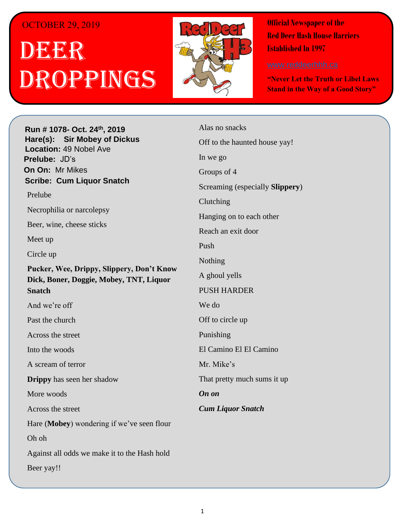## OCTOBER 29, 2019

## . 1 DEER h ROPPINGS



**Official Newspaper of the Red Deer Hash House Harriers Established In 1997** 

**"Never Let the Truth or Libel Laws Stand in the Way of a Good Story"**

**Run # 1075- Oct. 3 rd, 2019 H**arely **Run # 1078- Oct. 24<sup>th</sup>, 2019 Hare(s): Sir Mobey of Dickus Location: 49 Nobel Ave Prelube:** JD's **On On: Mr Mikes Sir Siri** Millimede *Have you ever just wanted to go out after a hard day of*  **Scribe: Cum Liquor Snatch** *work and just have a few drinks with some friends and*  Prelube Necrophilia or narcolepsy Beer, wine, cheese sticks to be some of my friends out at State and Main and Main and Main and Main and Main and Main and Main and Main and Main and Main and Main and Main and Main and Main and Main and Main and Main and Main and Main and Main and  $\lim_{\Delta t \to \infty}$ **Weight, West, Briggie, Mobey, TNT, Liquor Mobey's of Dickus, Cum Liquor Snatch and Deep <b>Liquor** Snatch and Deep **Liquor** Snatch and Deep **Liquor** Snatch and Deep **Liquor** Snatch and Deep **Liquor** Snatch and Deep **Liquor** Snatch and Deep **Liquor** Snatch and Deep And we're off Circle up **Pucker, Wee, Drippy, Slippery, Don't Know** 

*Have you ever had someone be someone be someoned* **with the** *someone* **be someoned with the** *source* 

*gospel that comes out of your mouth that they create a vertex of your mouth that they create a vertex of your mouth that they create a vertex of your mouth that they create a vertex of your mouth that they create a verte* 

*shirt based on those comments to assist themselves in*  Into the woods

A scream of terror

Well I have, **Slippery When Wet** wore a shirt she had made that said, "the top ten things that she does that **Drippy** has seen her shadow

 $\frac{1}{2}$  The shirt was only so big and top tensor  $\frac{1}{2}$  the shirt was only so big and top tensor  $\frac{1}{2}$ More woods

was very modest of her. She also wrote on the back of her. She also wrote on the back of her. She also wrote on the back of  $\sim$ 

Hare (**Mobey**) wondering if we've seen flour

 $\Omega$ h oh $\Omega$ Oh oh

Against all odds we make it to the Hash hold

Beer yay!!

*Have you ever been to a Hash run where the weather at*  Alas no snacks *the preduce of the haunted house yay! then when you get the run is the run of the run is the run of the run is the run is the run is the run is the run is the run is the run is the run is the run is the run is the ru* Groups of 4 went to this run, I was well was wearing to this run, I was well was wearing to the contract of  $\sim$ shorts and a T-shirt, when  $\mathbf{r}$  and  $\mathbf{r}$  when I was  $\mathbf{r}$  $s \sim 1$  or  $s \sim 1$  or  $s$  $\frac{1}{2}$  body as the wind was biting. We are wind was biting. We are  $\frac{1}{2}$ Hanging on to each other couple of couple of contract  $\alpha$ Reach an exit door *Have you ever started a run and thought – The walkers are not even going to walk but go straight to the Hash*  Nothing *Hold we can clearly see and drink beer the whole time*  A ghoul yells *while the runners run.* PUSH HARDER We do not in the walkers went straight from  $\mathcal{L}$ circle up to the "unknown" I am guessing  $\mathbf{u}$  and  $\mathbf{u}$  and  $\mathbf{u}$  am guessing  $\mathbf{u}$  and  $\mathbf{u}$  and  $\mathbf{u}$  and  $\mathbf{u}$  and  $\mathbf{u}$  and  $\mathbf{u}$  and  $\mathbf{u}$  and  $\mathbf{u}$  and  $\mathbf{u}$  and  $\mathbf{u}$  and  $\mathbf$ to grab some beers and lounge in the warmth of the abode.Update: I think I saw them on the run so guilt  $\frac{m}{2}$  cannot  $\frac{m}{2}$  in. Eq. in. *put down that you know if you set one there 4 weeks later you likely wouldn't need to buy any because the markings would still be there? Cum Liquor Snatch* In we go Screaming (especially **Slippery**) Clutching Push We do Punishing El Camino El El Camino Mr. Mike's That pretty much sums it up *On on*